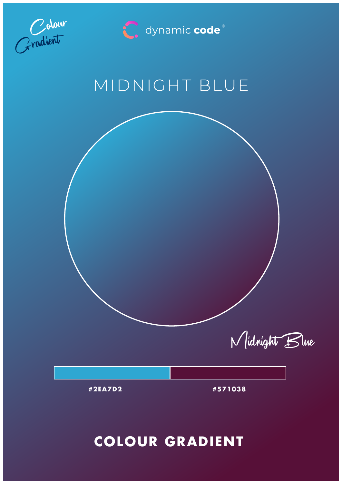



# MIDNIGHT BLUE

Midnight Blue

**#2EA7D2 #571038**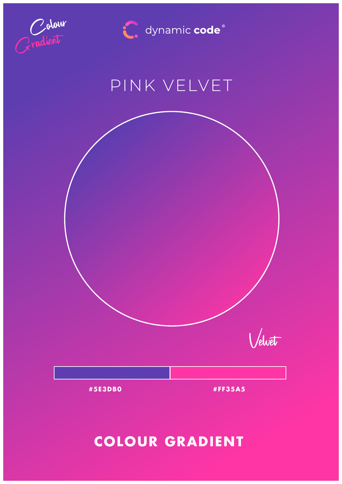



# PINK VELVET



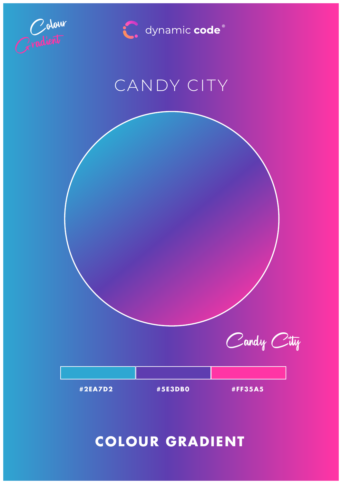



# CANDY CITY

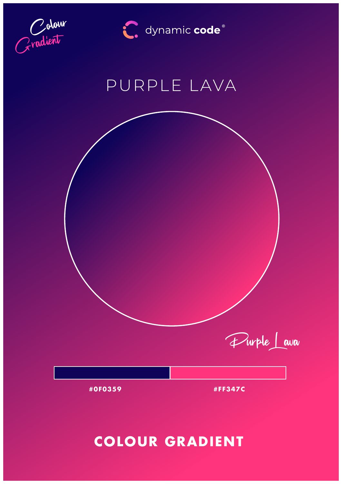



## PURPLE LAVA

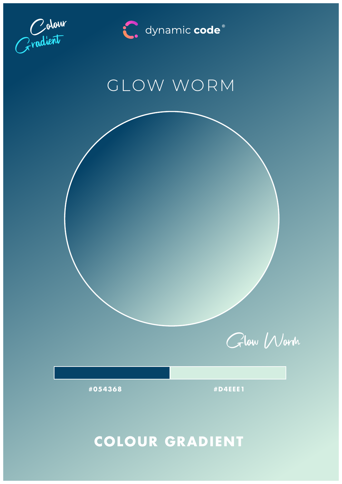

C. dynamic code®

## GLOW WORM

Glow Worm

**#054368 #D4EEE1**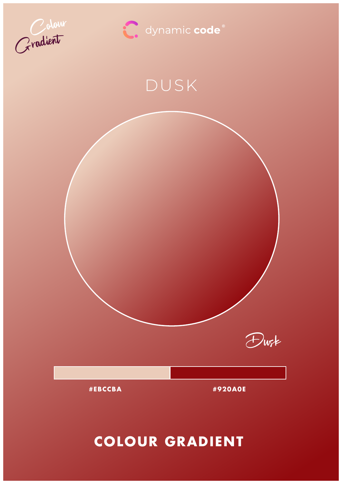



## DUSK

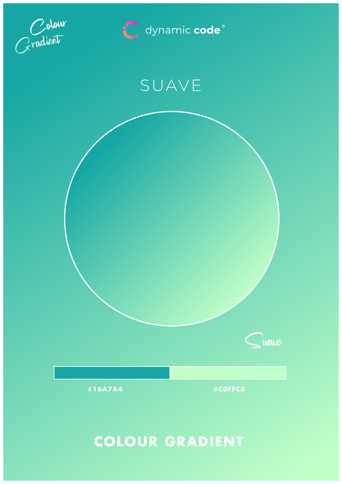



## SUAVE

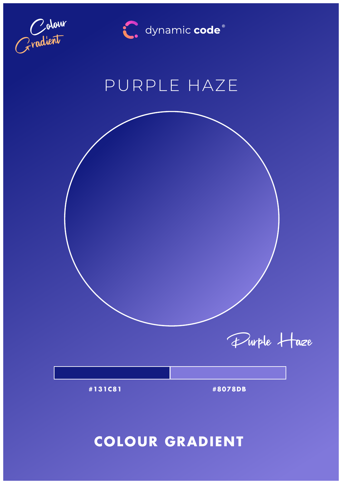

C. dynamic code®

## PURPLE HAZE

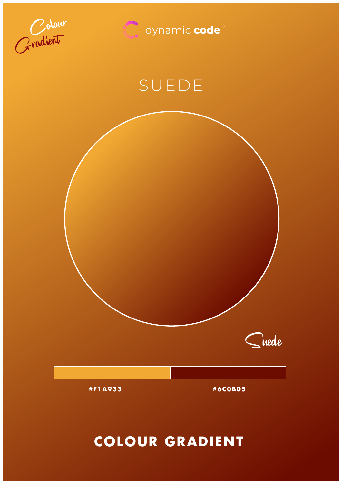



## SUEDE

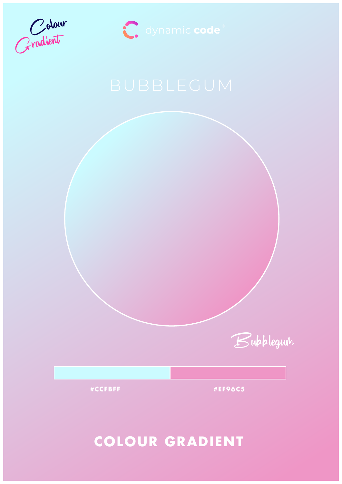



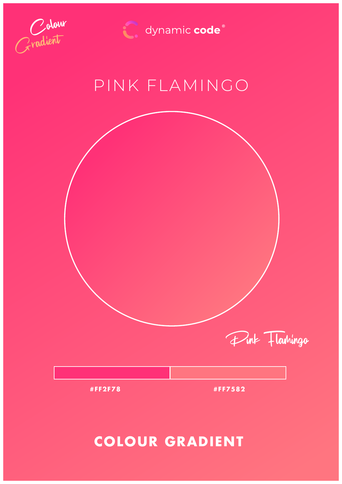![](_page_10_Picture_0.jpeg)

dynamic code<sup>®</sup>

## PINK FLAMINGO

![](_page_10_Figure_3.jpeg)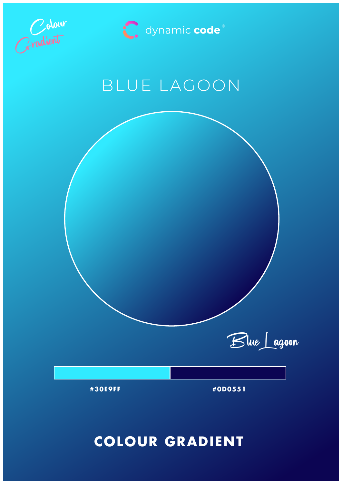![](_page_11_Picture_0.jpeg)

![](_page_11_Picture_1.jpeg)

## BLUE LAGOON

![](_page_11_Figure_3.jpeg)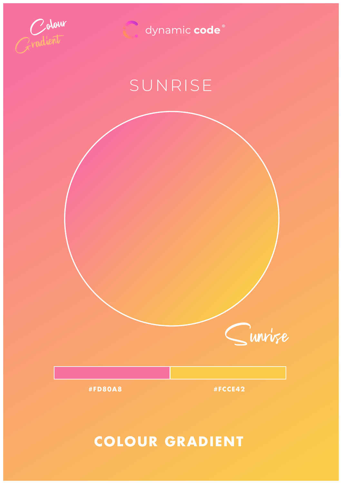![](_page_12_Picture_0.jpeg)

dynamic code®

# SUNRISE

![](_page_12_Picture_3.jpeg)